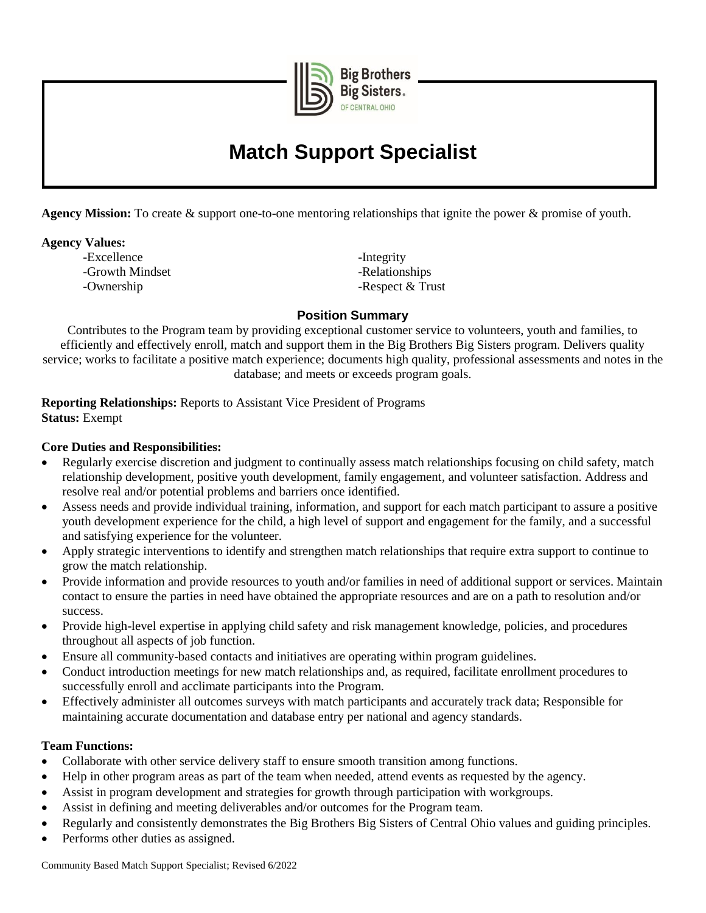

**Big Brothers Big Sisters** 

# **Match Support Specialist**

**Agency Mission:** To create & support one-to-one mentoring relationships that ignite the power & promise of youth.

## **Agency Values:**

-Excellence -Integrity -Growth Mindset **-Relationships** -Ownership - Respect & Trust

## **Position Summary**

Contributes to the Program team by providing exceptional customer service to volunteers, youth and families, to efficiently and effectively enroll, match and support them in the Big Brothers Big Sisters program. Delivers quality service; works to facilitate a positive match experience; documents high quality, professional assessments and notes in the database; and meets or exceeds program goals.

**Reporting Relationships:** Reports to Assistant Vice President of Programs **Status:** Exempt

# **Core Duties and Responsibilities:**

- Regularly exercise discretion and judgment to continually assess match relationships focusing on child safety, match relationship development, positive youth development, family engagement, and volunteer satisfaction. Address and resolve real and/or potential problems and barriers once identified.
- Assess needs and provide individual training, information, and support for each match participant to assure a positive youth development experience for the child, a high level of support and engagement for the family, and a successful and satisfying experience for the volunteer.
- Apply strategic interventions to identify and strengthen match relationships that require extra support to continue to grow the match relationship.
- Provide information and provide resources to youth and/or families in need of additional support or services. Maintain contact to ensure the parties in need have obtained the appropriate resources and are on a path to resolution and/or success.
- Provide high-level expertise in applying child safety and risk management knowledge, policies, and procedures throughout all aspects of job function.
- Ensure all community-based contacts and initiatives are operating within program guidelines.
- Conduct introduction meetings for new match relationships and, as required, facilitate enrollment procedures to successfully enroll and acclimate participants into the Program.
- Effectively administer all outcomes surveys with match participants and accurately track data; Responsible for maintaining accurate documentation and database entry per national and agency standards.

#### **Team Functions:**

- Collaborate with other service delivery staff to ensure smooth transition among functions.
- Help in other program areas as part of the team when needed, attend events as requested by the agency.
- Assist in program development and strategies for growth through participation with workgroups.
- Assist in defining and meeting deliverables and/or outcomes for the Program team.
- Regularly and consistently demonstrates the Big Brothers Big Sisters of Central Ohio values and guiding principles.
- Performs other duties as assigned.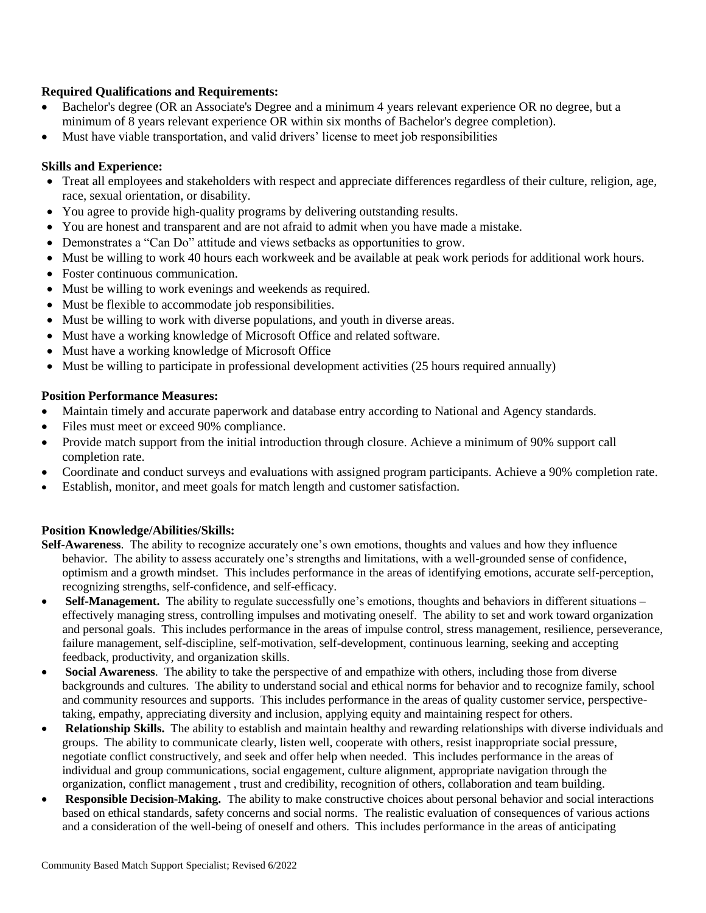## **Required Qualifications and Requirements:**

- Bachelor's degree (OR an Associate's Degree and a minimum 4 years relevant experience OR no degree, but a minimum of 8 years relevant experience OR within six months of Bachelor's degree completion).
- Must have viable transportation, and valid drivers' license to meet job responsibilities

#### **Skills and Experience:**

- Treat all employees and stakeholders with respect and appreciate differences regardless of their culture, religion, age, race, sexual orientation, or disability.
- You agree to provide high-quality programs by delivering outstanding results.
- You are honest and transparent and are not afraid to admit when you have made a mistake.
- Demonstrates a "Can Do" attitude and views setbacks as opportunities to grow.
- Must be willing to work 40 hours each workweek and be available at peak work periods for additional work hours.
- Foster continuous communication.
- Must be willing to work evenings and weekends as required.
- Must be flexible to accommodate job responsibilities.
- Must be willing to work with diverse populations, and youth in diverse areas.
- Must have a working knowledge of Microsoft Office and related software.
- Must have a working knowledge of Microsoft Office
- Must be willing to participate in professional development activities (25 hours required annually)

## **Position Performance Measures:**

- Maintain timely and accurate paperwork and database entry according to National and Agency standards.
- Files must meet or exceed 90% compliance.
- Provide match support from the initial introduction through closure. Achieve a minimum of 90% support call completion rate.
- Coordinate and conduct surveys and evaluations with assigned program participants. Achieve a 90% completion rate.
- Establish, monitor, and meet goals for match length and customer satisfaction.

#### **Position Knowledge/Abilities/Skills:**

- **Self-Awareness**. The ability to recognize accurately one's own emotions, thoughts and values and how they influence behavior. The ability to assess accurately one's strengths and limitations, with a well-grounded sense of confidence, optimism and a growth mindset. This includes performance in the areas of identifying emotions, accurate self-perception, recognizing strengths, self-confidence, and self-efficacy.
- **Self-Management.** The ability to regulate successfully one's emotions, thoughts and behaviors in different situations effectively managing stress, controlling impulses and motivating oneself. The ability to set and work toward organization and personal goals. This includes performance in the areas of impulse control, stress management, resilience, perseverance, failure management, self-discipline, self-motivation, self-development, continuous learning, seeking and accepting feedback, productivity, and organization skills.
- **Social Awareness**. The ability to take the perspective of and empathize with others, including those from diverse backgrounds and cultures. The ability to understand social and ethical norms for behavior and to recognize family, school and community resources and supports. This includes performance in the areas of quality customer service, perspectivetaking, empathy, appreciating diversity and inclusion, applying equity and maintaining respect for others.
- **Relationship Skills.** The ability to establish and maintain healthy and rewarding relationships with diverse individuals and groups. The ability to communicate clearly, listen well, cooperate with others, resist inappropriate social pressure, negotiate conflict constructively, and seek and offer help when needed. This includes performance in the areas of individual and group communications, social engagement, culture alignment, appropriate navigation through the organization, conflict management , trust and credibility, recognition of others, collaboration and team building.
- **Responsible Decision-Making.** The ability to make constructive choices about personal behavior and social interactions based on ethical standards, safety concerns and social norms. The realistic evaluation of consequences of various actions and a consideration of the well-being of oneself and others. This includes performance in the areas of anticipating